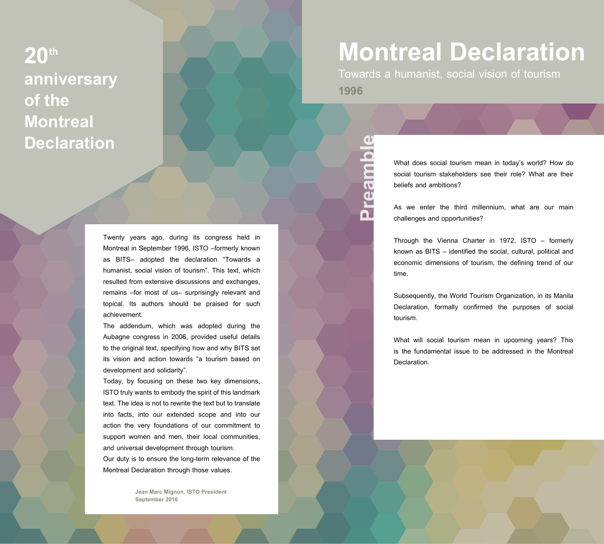# **20th anniversary of the Montreal Declaration**

Twenty years ago, during its congress held in Montreal in September 1996, ISTO –formerly known as BITS– adopted the declaration "Towards a humanist, social vision of tourism". This text, which resulted from extensive discussions and exchanges, remains –for most of us– surprisingly relevant and topical. Its authors should be praised for such achievement.

The addendum, which was adopted during the Aubagne congress in 2006, provided useful details to the original text, specifying how and why BITS set its vision and action towards "a tourism based on development and solidarity".

Today, by focusing on these two key dimensions, ISTO truly wants to embody the spirit of this landmark text. The idea is not to rewrite the text but to translate into facts, into our extended scope and into our action the very foundations of our commitment to support women and men, their local communities, and universal development through tourism.

Our duty is to ensure the long-term relevance of the Montreal Declaration through those values.

> **Jean Marc Mignon, ISTO President September 2016**

# **Montreal Declaration**

Towards a humanist, social vision of tourism **1996**

**Preamble**

**dureans** 

What does social tourism mean in today's world? How do social tourism stakeholders see their role? What are their beliefs and ambitions?

As we enter the third millennium, what are our main challenges and opportunities?

Through the Vienna Charter in 1972, ISTO – formerly known as BITS – identified the social, cultural, political and economic dimensions of tourism, the defining trend of our time.

Subsequently, the World Tourism Organization, in its Manila Declaration, formally confirmed the purposes of social tourism.

What will social tourism mean in upcoming years? This is the fundamental issue to be addressed in the Montreal **Declaration**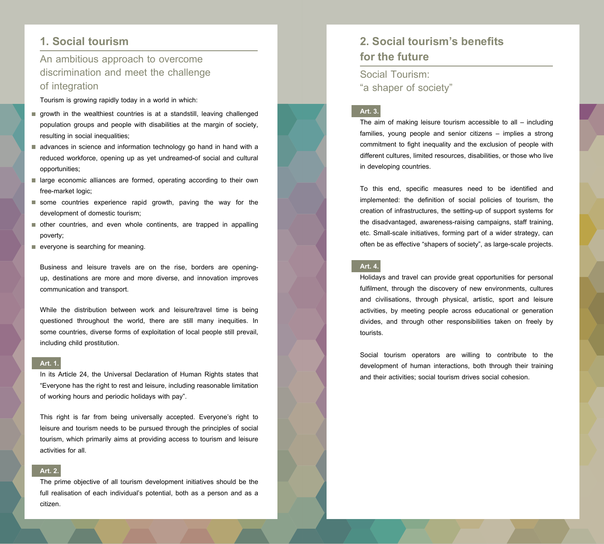## **1. Social tourism**

## An ambitious approach to overcome discrimination and meet the challenge of integration

Tourism is growing rapidly today in a world in which:

- growth in the wealthiest countries is at a standstill, leaving challenged population groups and people with disabilities at the margin of society, resulting in social inequalities;
- advances in science and information technology go hand in hand with a reduced workforce, opening up as yet undreamed-of social and cultural opportunities;
- large economic alliances are formed, operating according to their own free-market logic;
- some countries experience rapid growth, paving the way for the development of domestic tourism;
- other countries, and even whole continents, are trapped in appalling poverty;
- everyone is searching for meaning.

Business and leisure travels are on the rise, borders are openingup, destinations are more and more diverse, and innovation improves communication and transport.

While the distribution between work and leisure/travel time is being questioned throughout the world, there are still many inequities. In some countries, diverse forms of exploitation of local people still prevail, including child prostitution.

#### **Art. 1.**

In its Article 24, the Universal Declaration of Human Rights states that "Everyone has the right to rest and leisure, including reasonable limitation of working hours and periodic holidays with pay".

This right is far from being universally accepted. Everyone's right to leisure and tourism needs to be pursued through the principles of social tourism, which primarily aims at providing access to tourism and leisure activities for all.

#### **Art. 2.**

The prime objective of all tourism development initiatives should be the full realisation of each individual's potential, both as a person and as a citizen.

# **2. Social tourism's benefits for the future**

Social Tourism: "a shaper of society"

#### **Art. 3.**

The aim of making leisure tourism accessible to all – including families, young people and senior citizens – implies a strong commitment to fight inequality and the exclusion of people with different cultures, limited resources, disabilities, or those who live in developing countries.

To this end, specific measures need to be identified and implemented: the definition of social policies of tourism, the creation of infrastructures, the setting-up of support systems for the disadvantaged, awareness-raising campaigns, staff training, etc. Small-scale initiatives, forming part of a wider strategy, can often be as effective "shapers of society", as large-scale projects.

#### **Art. 4.**

Holidays and travel can provide great opportunities for personal fulfilment, through the discovery of new environments, cultures and civilisations, through physical, artistic, sport and leisure activities, by meeting people across educational or generation divides, and through other responsibilities taken on freely by tourists.

Social tourism operators are willing to contribute to the development of human interactions, both through their training and their activities; social tourism drives social cohesion.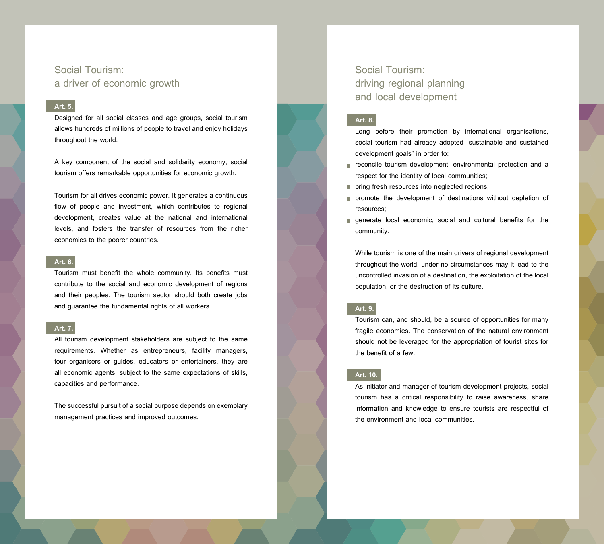### Social Tourism: a driver of economic growth

#### **Art. 5.**

Designed for all social classes and age groups, social tourism allows hundreds of millions of people to travel and enjoy holidays throughout the world.

A key component of the social and solidarity economy, social tourism offers remarkable opportunities for economic growth.

Tourism for all drives economic power. It generates a continuous flow of people and investment, which contributes to regional development, creates value at the national and international levels, and fosters the transfer of resources from the richer economies to the poorer countries.

#### **Art. 6.**

Tourism must benefit the whole community. Its benefits must contribute to the social and economic development of regions and their peoples. The tourism sector should both create jobs and guarantee the fundamental rights of all workers.

#### **Art. 7.**

All tourism development stakeholders are subject to the same requirements. Whether as entrepreneurs, facility managers, tour organisers or guides, educators or entertainers, they are all economic agents, subject to the same expectations of skills, capacities and performance.

The successful pursuit of a social purpose depends on exemplary management practices and improved outcomes.

Social Tourism: driving regional planning and local development

#### **Art. 8.**

- Long before their promotion by international organisations, social tourism had already adopted "sustainable and sustained development goals" in order to:
- reconcile tourism development, environmental protection and a respect for the identity of local communities;
- **De bring fresh resources into neglected regions;**
- promote the development of destinations without depletion of resources;
- **qenerate local economic, social and cultural benefits for the** community.

While tourism is one of the main drivers of regional development throughout the world, under no circumstances may it lead to the uncontrolled invasion of a destination, the exploitation of the local population, or the destruction of its culture.

#### **Art. 9.**

Tourism can, and should, be a source of opportunities for many fragile economies. The conservation of the natural environment should not be leveraged for the appropriation of tourist sites for the benefit of a few.

#### **Art. 10.**

As initiator and manager of tourism development projects, social tourism has a critical responsibility to raise awareness, share information and knowledge to ensure tourists are respectful of the environment and local communities.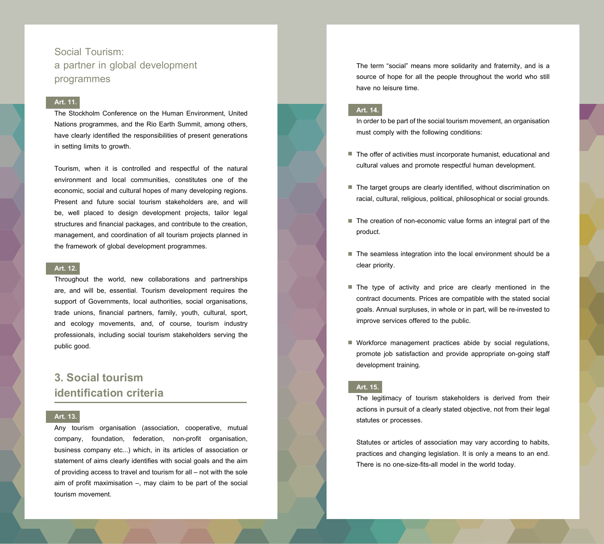Social Tourism: a partner in global development programmes

#### **Art. 11.**

The Stockholm Conference on the Human Environment, United Nations programmes, and the Rio Earth Summit, among others, have clearly identified the responsibilities of present generations in setting limits to growth.

Tourism, when it is controlled and respectful of the natural environment and local communities, constitutes one of the economic, social and cultural hopes of many developing regions. Present and future social tourism stakeholders are, and will be, well placed to design development projects, tailor legal structures and financial packages, and contribute to the creation, management, and coordination of all tourism projects planned in the framework of global development programmes.

#### **Art. 12.**

Throughout the world, new collaborations and partnerships are, and will be, essential. Tourism development requires the support of Governments, local authorities, social organisations, trade unions, financial partners, family, youth, cultural, sport, and ecology movements, and, of course, tourism industry professionals, including social tourism stakeholders serving the public good.

## **3. Social tourism identification criteria**

#### **Art. 13.**

Any tourism organisation (association, cooperative, mutual company, foundation, federation, non-profit organisation, business company etc...) which, in its articles of association or statement of aims clearly identifies with social goals and the aim of providing access to travel and tourism for all – not with the sole aim of profit maximisation –, may claim to be part of the social tourism movement.

The term "social" means more solidarity and fraternity, and is a source of hope for all the people throughout the world who still have no leisure time.

#### **Art. 14.**

In order to be part of the social tourism movement, an organisation must comply with the following conditions:

- The offer of activities must incorporate humanist, educational and cultural values and promote respectful human development.
- The target groups are clearly identified, without discrimination on racial, cultural, religious, political, philosophical or social grounds.
- The creation of non-economic value forms an integral part of the product.
- The seamless integration into the local environment should be a clear priority.
- The type of activity and price are clearly mentioned in the contract documents. Prices are compatible with the stated social goals. Annual surpluses, in whole or in part, will be re-invested to improve services offered to the public.
- Workforce management practices abide by social regulations, promote job satisfaction and provide appropriate on-going staff development training.

#### **Art. 15.**

The legitimacy of tourism stakeholders is derived from their actions in pursuit of a clearly stated objective, not from their legal statutes or processes.

Statutes or articles of association may vary according to habits, practices and changing legislation. It is only a means to an end. There is no one-size-fits-all model in the world today.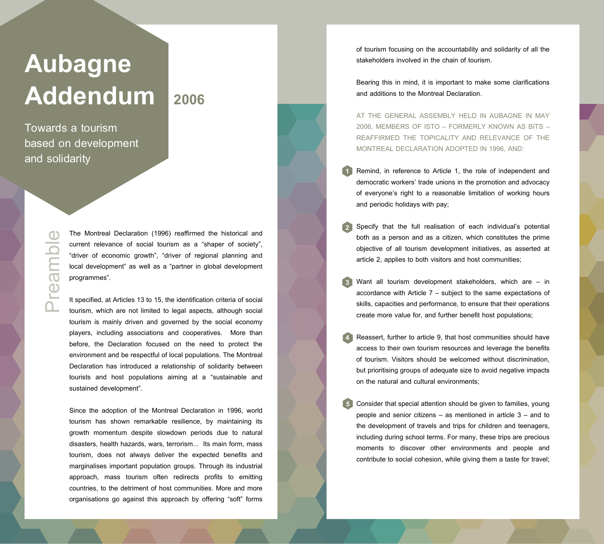# **Aubagne**  Addendum 2006

Towards a tourism based on development and solidarity

> Preamble **Ieal**

The Montreal Declaration (1996) reaffirmed the historical and current relevance of social tourism as a "shaper of society", "driver of economic growth", "driver of regional planning and local development" as well as a "partner in global development programmes".

It specified, at Articles 13 to 15, the identification criteria of social tourism, which are not limited to legal aspects, although social tourism is mainly driven and governed by the social economy players, including associations and cooperatives. More than before, the Declaration focused on the need to protect the environment and be respectful of local populations. The Montreal Declaration has introduced a relationship of solidarity between tourists and host populations aiming at a "sustainable and sustained development".

Since the adoption of the Montreal Declaration in 1996, world tourism has shown remarkable resilience, by maintaining its growth momentum despite slowdown periods due to natural disasters, health hazards, wars, terrorism... Its main form, mass tourism, does not always deliver the expected benefits and marginalises important population groups. Through its industrial approach, mass tourism often redirects profits to emitting countries, to the detriment of host communities. More and more organisations go against this approach by offering "soft" forms of tourism focusing on the accountability and solidarity of all the stakeholders involved in the chain of tourism.

Bearing this in mind, it is important to make some clarifications and additions to the Montreal Declaration.

AT THE GENERAL ASSEMBLY HELD IN AUBAGNE IN MAY 2006, MEMBERS OF ISTO – FORMERLY KNOWN AS BITS – REAFFIRMED THE TOPICALITY AND RELEVANCE OF THE MONTREAL DECLARATION ADOPTED IN 1996, AND:

- Remind, in reference to Article 1, the role of independent and democratic workers' trade unions in the promotion and advocacy of everyone's right to a reasonable limitation of working hours and periodic holidays with pay; **1**
- Specify that the full realisation of each individual's potential both as a person and as a citizen, which constitutes the prime objective of all tourism development initiatives, as asserted at article 2, applies to both visitors and host communities; **2**
- Want all tourism development stakeholders, which are in accordance with Article 7 – subject to the same expectations of skills, capacities and performance, to ensure that their operations create more value for, and further benefit host populations; **3**
- Reassert, further to article 9, that host communities should have access to their own tourism resources and leverage the benefits of tourism. Visitors should be welcomed without discrimination, but prioritising groups of adequate size to avoid negative impacts on the natural and cultural environments; **4**
- Consider that special attention should be given to families, young people and senior citizens – as mentioned in article 3 – and to the development of travels and trips for children and teenagers, including during school terms. For many, these trips are precious moments to discover other environments and people and contribute to social cohesion, while giving them a taste for travel; **5**